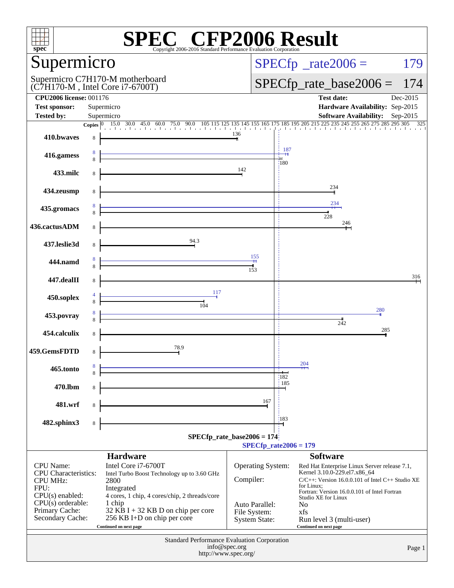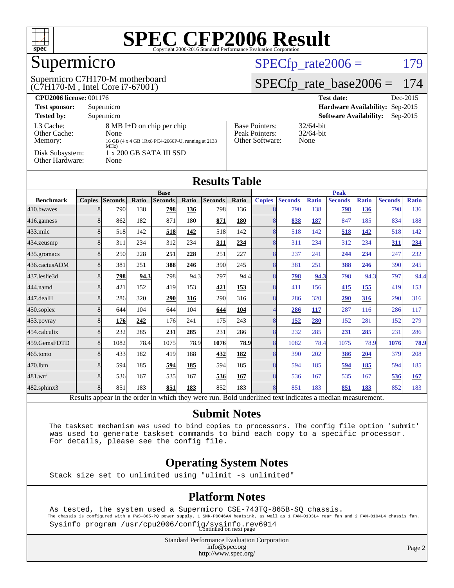

## Supermicro

(C7H170-M , Intel Core i7-6700T) Supermicro C7H170-M motherboard  $SPECTp_rate2006 = 179$ 

#### [SPECfp\\_rate\\_base2006 =](http://www.spec.org/auto/cpu2006/Docs/result-fields.html#SPECfpratebase2006) 174

| <b>CPU2006 license: 001176</b>       |                                                                                                |                                                            | <b>Test date:</b><br>Dec-2015               |
|--------------------------------------|------------------------------------------------------------------------------------------------|------------------------------------------------------------|---------------------------------------------|
| <b>Test sponsor:</b>                 | Supermicro                                                                                     |                                                            | Hardware Availability: Sep-2015             |
| <b>Tested by:</b>                    | Supermicro                                                                                     |                                                            | <b>Software Availability:</b><br>$Sep-2015$ |
| L3 Cache:<br>Other Cache:<br>Memory: | 8 MB I+D on chip per chip<br>None<br>16 GB (4 x 4 GB 1Rx8 PC4-2666P-U, running at 2133<br>MHz) | <b>Base Pointers:</b><br>Peak Pointers:<br>Other Software: | $32/64$ -bit<br>$32/64$ -bit<br>None        |
| Disk Subsystem:<br>Other Hardware:   | $1 \times 200$ GB SATA III SSD<br>None                                                         |                                                            |                                             |

| <b>Results Table</b> |               |                |       |                |       |                |             |               |                |              |                |              |                |              |
|----------------------|---------------|----------------|-------|----------------|-------|----------------|-------------|---------------|----------------|--------------|----------------|--------------|----------------|--------------|
|                      | <b>Base</b>   |                |       |                |       |                | <b>Peak</b> |               |                |              |                |              |                |              |
| <b>Benchmark</b>     | <b>Copies</b> | <b>Seconds</b> | Ratio | <b>Seconds</b> | Ratio | <b>Seconds</b> | Ratio       | <b>Copies</b> | <b>Seconds</b> | <b>Ratio</b> | <b>Seconds</b> | <b>Ratio</b> | <b>Seconds</b> | <b>Ratio</b> |
| 410.bwayes           | 8             | 790            | 138   | 798            | 136   | 798            | 136         | 8             | 790            | 138          | 798            | 136          | 798            | 136          |
| $416$ .gamess        | 8             | 862            | 182   | 871            | 180   | 871            | 180         | 8             | 838            | 187          | 847            | 185          | 834            | 188          |
| $433$ .milc          | 8             | 518            | 142   | 518            | 142   | 518            | 142         | 8             | 518            | 142          | 518            | 142          | 518            | 142          |
| 434.zeusmp           | 8             | 311            | 234   | 312            | 234   | 311            | 234         | 8             | 311            | 234          | 312            | 234          | 311            | 234          |
| 435.gromacs          | 8             | 250            | 228   | 251            | 228   | 251            | 227         | 8             | 237            | 241          | 244            | 234          | 247            | 232          |
| 436.cactusADM        | 8             | 381            | 251   | 388            | 246   | 390            | 245         | 8             | 381            | 251          | 388            | 246          | 390            | 245          |
| 437.leslie3d         | 8             | 798            | 94.3  | 798            | 94.3  | 797            | 94.4        | 8             | 798            | 94.3         | 798            | 94.3         | 797            | 94.4         |
| 444.namd             | 8             | 421            | 152   | 419            | 153   | 421            | 153         | 8             | 411            | 156          | 415            | 155          | 419            | 153          |
| 447.dealII           | 8             | 286            | 320   | 290            | 316   | 290            | 316         | 8             | 286            | 320          | 290            | 316          | 290            | 316          |
| $450$ .soplex        | 8             | 644            | 104   | 644            | 104   | 644            | 104         | 4             | 286            | 117          | 287            | 116          | 286            | 117          |
| 453.povray           | 8             | 176            | 242   | 176            | 241   | 175            | 243         | 8             | <u>152</u>     | 280          | 152            | 281          | 152            | 279          |
| 454.calculix         | 8             | 232            | 285   | 231            | 285   | 231            | 286         | 8             | 232            | 285          | 231            | 285          | 231            | 286          |
| 459.GemsFDTD         | 8             | 1082           | 78.4  | 1075           | 78.9  | 1076           | 78.9        | 8             | 1082           | 78.4         | 1075           | 78.9         | 1076           | 78.9         |
| 465.tonto            | 8             | 433            | 182   | 419            | 188   | 432            | 182         | 8             | 390            | 202          | 386            | 204          | 379            | 208          |
| 470.1bm              | 8             | 594            | 185   | 594            | 185   | 594            | 185         | 8             | 594            | 185          | 594            | 185          | 594            | 185          |
| 481.wrf              | 8             | 536            | 167   | 535            | 167   | 536            | 167         | 8             | 536            | 167          | 535            | 167          | 536            | <b>167</b>   |
| 482.sphinx3          | 8             | 851            | 183   | 851            | 183   | 852            | 183         | 8             | 851            | 183          | 851            | 183          | 852            | 183          |

Results appear in the [order in which they were run.](http://www.spec.org/auto/cpu2006/Docs/result-fields.html#RunOrder) Bold underlined text [indicates a median measurement.](http://www.spec.org/auto/cpu2006/Docs/result-fields.html#Median)

#### **[Submit Notes](http://www.spec.org/auto/cpu2006/Docs/result-fields.html#SubmitNotes)**

 The taskset mechanism was used to bind copies to processors. The config file option 'submit' was used to generate taskset commands to bind each copy to a specific processor. For details, please see the config file.

#### **[Operating System Notes](http://www.spec.org/auto/cpu2006/Docs/result-fields.html#OperatingSystemNotes)**

Stack size set to unlimited using "ulimit -s unlimited"

#### **[Platform Notes](http://www.spec.org/auto/cpu2006/Docs/result-fields.html#PlatformNotes)**

 As tested, the system used a Supermicro CSE-743TQ-865B-SQ chassis. The chassis is configured with a PWS-865-PQ power supply, 1 SNK-P0046A4 heatsink, as well as 1 FAN-0103L4 rear fan and 2 FAN-0104L4 chassis fan. Sysinfo program /usr/cpu2006/config/sysinfo.rev6914 Continued on next page

> Standard Performance Evaluation Corporation [info@spec.org](mailto:info@spec.org) <http://www.spec.org/>

Page 2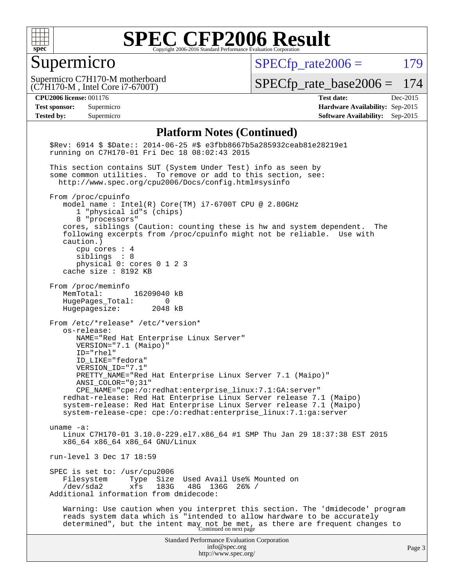

#### Supermicro

 $SPECfp_rate2006 = 179$  $SPECfp_rate2006 = 179$ 

(C7H170-M , Intel Core i7-6700T) Supermicro C7H170-M motherboard

[SPECfp\\_rate\\_base2006 =](http://www.spec.org/auto/cpu2006/Docs/result-fields.html#SPECfpratebase2006) 174

**[CPU2006 license:](http://www.spec.org/auto/cpu2006/Docs/result-fields.html#CPU2006license)** 001176 **[Test date:](http://www.spec.org/auto/cpu2006/Docs/result-fields.html#Testdate)** Dec-2015 **[Test sponsor:](http://www.spec.org/auto/cpu2006/Docs/result-fields.html#Testsponsor)** Supermicro **[Hardware Availability:](http://www.spec.org/auto/cpu2006/Docs/result-fields.html#HardwareAvailability)** Sep-2015 **[Tested by:](http://www.spec.org/auto/cpu2006/Docs/result-fields.html#Testedby)** Supermicro **Supermicro [Software Availability:](http://www.spec.org/auto/cpu2006/Docs/result-fields.html#SoftwareAvailability)** Sep-2015

#### **[Platform Notes \(Continued\)](http://www.spec.org/auto/cpu2006/Docs/result-fields.html#PlatformNotes)**

Standard Performance Evaluation Corporation [info@spec.org](mailto:info@spec.org) <http://www.spec.org/> Page 3 \$Rev: 6914 \$ \$Date:: 2014-06-25 #\$ e3fbb8667b5a285932ceab81e28219e1 running on C7H170-01 Fri Dec 18 08:02:43 2015 This section contains SUT (System Under Test) info as seen by some common utilities. To remove or add to this section, see: <http://www.spec.org/cpu2006/Docs/config.html#sysinfo> From /proc/cpuinfo model name : Intel(R) Core(TM) i7-6700T CPU @ 2.80GHz 1 "physical id"s (chips) 8 "processors" cores, siblings (Caution: counting these is hw and system dependent. The following excerpts from /proc/cpuinfo might not be reliable. Use with caution.) cpu cores : 4 siblings : 8 physical 0: cores 0 1 2 3 cache size : 8192 KB From /proc/meminfo MemTotal: 16209040 kB HugePages\_Total: 0<br>Hugepagesize: 2048 kB Hugepagesize: From /etc/\*release\* /etc/\*version\* os-release: NAME="Red Hat Enterprise Linux Server" VERSION="7.1 (Maipo)" ID="rhel" ID\_LIKE="fedora" VERSION\_ID="7.1" PRETTY\_NAME="Red Hat Enterprise Linux Server 7.1 (Maipo)" ANSI\_COLOR="0;31" CPE\_NAME="cpe:/o:redhat:enterprise\_linux:7.1:GA:server" redhat-release: Red Hat Enterprise Linux Server release 7.1 (Maipo) system-release: Red Hat Enterprise Linux Server release 7.1 (Maipo) system-release-cpe: cpe:/o:redhat:enterprise\_linux:7.1:ga:server uname -a: Linux C7H170-01 3.10.0-229.el7.x86\_64 #1 SMP Thu Jan 29 18:37:38 EST 2015 x86\_64 x86\_64 x86\_64 GNU/Linux run-level 3 Dec 17 18:59 SPEC is set to: /usr/cpu2006 Filesystem Type Size Used Avail Use% Mounted on<br>
/dev/sda2 xfs 183G 48G 136G 26% / /dev/sda2 xfs 183G 48G 136G 26% / Additional information from dmidecode: Warning: Use caution when you interpret this section. The 'dmidecode' program reads system data which is "intended to allow hardware to be accurately determined", but the intent may not be met, as there are frequent changes to<br>Continued on next page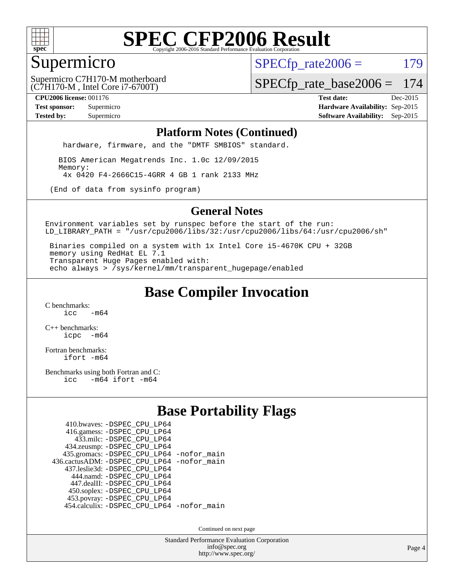

#### Supermicro

 $SPECTp\_rate2006 = 179$ 

(C7H170-M , Intel Core i7-6700T) Supermicro C7H170-M motherboard

[SPECfp\\_rate\\_base2006 =](http://www.spec.org/auto/cpu2006/Docs/result-fields.html#SPECfpratebase2006) 174

**[CPU2006 license:](http://www.spec.org/auto/cpu2006/Docs/result-fields.html#CPU2006license)** 001176 **[Test date:](http://www.spec.org/auto/cpu2006/Docs/result-fields.html#Testdate)** Dec-2015 **[Test sponsor:](http://www.spec.org/auto/cpu2006/Docs/result-fields.html#Testsponsor)** Supermicro **[Hardware Availability:](http://www.spec.org/auto/cpu2006/Docs/result-fields.html#HardwareAvailability)** Sep-2015 **[Tested by:](http://www.spec.org/auto/cpu2006/Docs/result-fields.html#Testedby)** Supermicro **Supermicro [Software Availability:](http://www.spec.org/auto/cpu2006/Docs/result-fields.html#SoftwareAvailability)** Sep-2015

#### **[Platform Notes \(Continued\)](http://www.spec.org/auto/cpu2006/Docs/result-fields.html#PlatformNotes)**

hardware, firmware, and the "DMTF SMBIOS" standard.

 BIOS American Megatrends Inc. 1.0c 12/09/2015 Memory: 4x 0420 F4-2666C15-4GRR 4 GB 1 rank 2133 MHz

(End of data from sysinfo program)

#### **[General Notes](http://www.spec.org/auto/cpu2006/Docs/result-fields.html#GeneralNotes)**

Environment variables set by runspec before the start of the run: LD\_LIBRARY\_PATH = "/usr/cpu2006/libs/32:/usr/cpu2006/libs/64:/usr/cpu2006/sh"

 Binaries compiled on a system with 1x Intel Core i5-4670K CPU + 32GB memory using RedHat EL 7.1 Transparent Huge Pages enabled with: echo always > /sys/kernel/mm/transparent\_hugepage/enabled

### **[Base Compiler Invocation](http://www.spec.org/auto/cpu2006/Docs/result-fields.html#BaseCompilerInvocation)**

[C benchmarks](http://www.spec.org/auto/cpu2006/Docs/result-fields.html#Cbenchmarks):  $\frac{1}{2}$ cc  $-\text{m64}$ 

[C++ benchmarks:](http://www.spec.org/auto/cpu2006/Docs/result-fields.html#CXXbenchmarks) [icpc -m64](http://www.spec.org/cpu2006/results/res2016q1/cpu2006-20151223-38486.flags.html#user_CXXbase_intel_icpc_64bit_bedb90c1146cab66620883ef4f41a67e)

[Fortran benchmarks](http://www.spec.org/auto/cpu2006/Docs/result-fields.html#Fortranbenchmarks): [ifort -m64](http://www.spec.org/cpu2006/results/res2016q1/cpu2006-20151223-38486.flags.html#user_FCbase_intel_ifort_64bit_ee9d0fb25645d0210d97eb0527dcc06e)

[Benchmarks using both Fortran and C](http://www.spec.org/auto/cpu2006/Docs/result-fields.html#BenchmarksusingbothFortranandC): [icc -m64](http://www.spec.org/cpu2006/results/res2016q1/cpu2006-20151223-38486.flags.html#user_CC_FCbase_intel_icc_64bit_0b7121f5ab7cfabee23d88897260401c) [ifort -m64](http://www.spec.org/cpu2006/results/res2016q1/cpu2006-20151223-38486.flags.html#user_CC_FCbase_intel_ifort_64bit_ee9d0fb25645d0210d97eb0527dcc06e)

### **[Base Portability Flags](http://www.spec.org/auto/cpu2006/Docs/result-fields.html#BasePortabilityFlags)**

| 410.bwaves: - DSPEC CPU LP64               |  |
|--------------------------------------------|--|
| 416.gamess: -DSPEC_CPU_LP64                |  |
| 433.milc: -DSPEC CPU LP64                  |  |
| 434.zeusmp: -DSPEC_CPU_LP64                |  |
| 435.gromacs: -DSPEC_CPU_LP64 -nofor_main   |  |
| 436.cactusADM: -DSPEC CPU LP64 -nofor main |  |
| 437.leslie3d: -DSPEC CPU LP64              |  |
| 444.namd: - DSPEC_CPU_LP64                 |  |
| 447.dealII: -DSPEC CPU LP64                |  |
| 450.soplex: -DSPEC_CPU_LP64                |  |
| 453.povray: -DSPEC_CPU_LP64                |  |
| 454.calculix: -DSPEC_CPU_LP64 -nofor_main  |  |

Continued on next page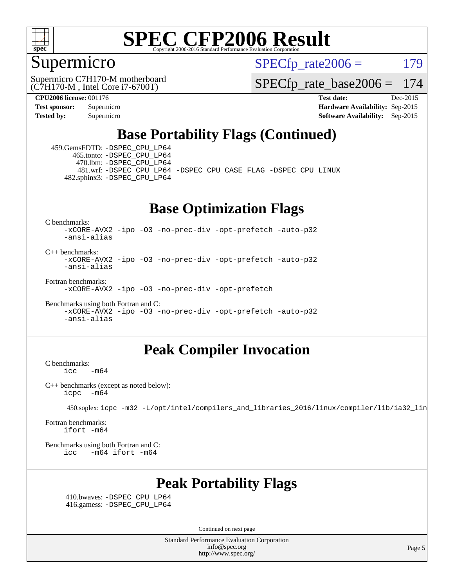

#### Supermicro

 $SPECTp\_rate2006 = 179$ 

(C7H170-M , Intel Core i7-6700T) Supermicro C7H170-M motherboard

[SPECfp\\_rate\\_base2006 =](http://www.spec.org/auto/cpu2006/Docs/result-fields.html#SPECfpratebase2006) 174

**[CPU2006 license:](http://www.spec.org/auto/cpu2006/Docs/result-fields.html#CPU2006license)** 001176 **[Test date:](http://www.spec.org/auto/cpu2006/Docs/result-fields.html#Testdate)** Dec-2015 **[Test sponsor:](http://www.spec.org/auto/cpu2006/Docs/result-fields.html#Testsponsor)** Supermicro **[Hardware Availability:](http://www.spec.org/auto/cpu2006/Docs/result-fields.html#HardwareAvailability)** Sep-2015 **[Tested by:](http://www.spec.org/auto/cpu2006/Docs/result-fields.html#Testedby)** Supermicro **Supermicro [Software Availability:](http://www.spec.org/auto/cpu2006/Docs/result-fields.html#SoftwareAvailability)** Sep-2015

### **[Base Portability Flags \(Continued\)](http://www.spec.org/auto/cpu2006/Docs/result-fields.html#BasePortabilityFlags)**

 459.GemsFDTD: [-DSPEC\\_CPU\\_LP64](http://www.spec.org/cpu2006/results/res2016q1/cpu2006-20151223-38486.flags.html#suite_basePORTABILITY459_GemsFDTD_DSPEC_CPU_LP64) 465.tonto: [-DSPEC\\_CPU\\_LP64](http://www.spec.org/cpu2006/results/res2016q1/cpu2006-20151223-38486.flags.html#suite_basePORTABILITY465_tonto_DSPEC_CPU_LP64) 470.lbm: [-DSPEC\\_CPU\\_LP64](http://www.spec.org/cpu2006/results/res2016q1/cpu2006-20151223-38486.flags.html#suite_basePORTABILITY470_lbm_DSPEC_CPU_LP64) 482.sphinx3: [-DSPEC\\_CPU\\_LP64](http://www.spec.org/cpu2006/results/res2016q1/cpu2006-20151223-38486.flags.html#suite_basePORTABILITY482_sphinx3_DSPEC_CPU_LP64)

481.wrf: [-DSPEC\\_CPU\\_LP64](http://www.spec.org/cpu2006/results/res2016q1/cpu2006-20151223-38486.flags.html#suite_basePORTABILITY481_wrf_DSPEC_CPU_LP64) [-DSPEC\\_CPU\\_CASE\\_FLAG](http://www.spec.org/cpu2006/results/res2016q1/cpu2006-20151223-38486.flags.html#b481.wrf_baseCPORTABILITY_DSPEC_CPU_CASE_FLAG) [-DSPEC\\_CPU\\_LINUX](http://www.spec.org/cpu2006/results/res2016q1/cpu2006-20151223-38486.flags.html#b481.wrf_baseCPORTABILITY_DSPEC_CPU_LINUX)

#### **[Base Optimization Flags](http://www.spec.org/auto/cpu2006/Docs/result-fields.html#BaseOptimizationFlags)**

[C benchmarks](http://www.spec.org/auto/cpu2006/Docs/result-fields.html#Cbenchmarks):

[-xCORE-AVX2](http://www.spec.org/cpu2006/results/res2016q1/cpu2006-20151223-38486.flags.html#user_CCbase_f-xAVX2_5f5fc0cbe2c9f62c816d3e45806c70d7) [-ipo](http://www.spec.org/cpu2006/results/res2016q1/cpu2006-20151223-38486.flags.html#user_CCbase_f-ipo) [-O3](http://www.spec.org/cpu2006/results/res2016q1/cpu2006-20151223-38486.flags.html#user_CCbase_f-O3) [-no-prec-div](http://www.spec.org/cpu2006/results/res2016q1/cpu2006-20151223-38486.flags.html#user_CCbase_f-no-prec-div) [-opt-prefetch](http://www.spec.org/cpu2006/results/res2016q1/cpu2006-20151223-38486.flags.html#user_CCbase_f-opt-prefetch) [-auto-p32](http://www.spec.org/cpu2006/results/res2016q1/cpu2006-20151223-38486.flags.html#user_CCbase_f-auto-p32) [-ansi-alias](http://www.spec.org/cpu2006/results/res2016q1/cpu2006-20151223-38486.flags.html#user_CCbase_f-ansi-alias)

[C++ benchmarks:](http://www.spec.org/auto/cpu2006/Docs/result-fields.html#CXXbenchmarks) [-xCORE-AVX2](http://www.spec.org/cpu2006/results/res2016q1/cpu2006-20151223-38486.flags.html#user_CXXbase_f-xAVX2_5f5fc0cbe2c9f62c816d3e45806c70d7) [-ipo](http://www.spec.org/cpu2006/results/res2016q1/cpu2006-20151223-38486.flags.html#user_CXXbase_f-ipo) [-O3](http://www.spec.org/cpu2006/results/res2016q1/cpu2006-20151223-38486.flags.html#user_CXXbase_f-O3) [-no-prec-div](http://www.spec.org/cpu2006/results/res2016q1/cpu2006-20151223-38486.flags.html#user_CXXbase_f-no-prec-div) [-opt-prefetch](http://www.spec.org/cpu2006/results/res2016q1/cpu2006-20151223-38486.flags.html#user_CXXbase_f-opt-prefetch) [-auto-p32](http://www.spec.org/cpu2006/results/res2016q1/cpu2006-20151223-38486.flags.html#user_CXXbase_f-auto-p32) [-ansi-alias](http://www.spec.org/cpu2006/results/res2016q1/cpu2006-20151223-38486.flags.html#user_CXXbase_f-ansi-alias)

[Fortran benchmarks](http://www.spec.org/auto/cpu2006/Docs/result-fields.html#Fortranbenchmarks): [-xCORE-AVX2](http://www.spec.org/cpu2006/results/res2016q1/cpu2006-20151223-38486.flags.html#user_FCbase_f-xAVX2_5f5fc0cbe2c9f62c816d3e45806c70d7) [-ipo](http://www.spec.org/cpu2006/results/res2016q1/cpu2006-20151223-38486.flags.html#user_FCbase_f-ipo) [-O3](http://www.spec.org/cpu2006/results/res2016q1/cpu2006-20151223-38486.flags.html#user_FCbase_f-O3) [-no-prec-div](http://www.spec.org/cpu2006/results/res2016q1/cpu2006-20151223-38486.flags.html#user_FCbase_f-no-prec-div) [-opt-prefetch](http://www.spec.org/cpu2006/results/res2016q1/cpu2006-20151223-38486.flags.html#user_FCbase_f-opt-prefetch)

[Benchmarks using both Fortran and C](http://www.spec.org/auto/cpu2006/Docs/result-fields.html#BenchmarksusingbothFortranandC): [-xCORE-AVX2](http://www.spec.org/cpu2006/results/res2016q1/cpu2006-20151223-38486.flags.html#user_CC_FCbase_f-xAVX2_5f5fc0cbe2c9f62c816d3e45806c70d7) [-ipo](http://www.spec.org/cpu2006/results/res2016q1/cpu2006-20151223-38486.flags.html#user_CC_FCbase_f-ipo) [-O3](http://www.spec.org/cpu2006/results/res2016q1/cpu2006-20151223-38486.flags.html#user_CC_FCbase_f-O3) [-no-prec-div](http://www.spec.org/cpu2006/results/res2016q1/cpu2006-20151223-38486.flags.html#user_CC_FCbase_f-no-prec-div) [-opt-prefetch](http://www.spec.org/cpu2006/results/res2016q1/cpu2006-20151223-38486.flags.html#user_CC_FCbase_f-opt-prefetch) [-auto-p32](http://www.spec.org/cpu2006/results/res2016q1/cpu2006-20151223-38486.flags.html#user_CC_FCbase_f-auto-p32) [-ansi-alias](http://www.spec.org/cpu2006/results/res2016q1/cpu2006-20151223-38486.flags.html#user_CC_FCbase_f-ansi-alias)

#### **[Peak Compiler Invocation](http://www.spec.org/auto/cpu2006/Docs/result-fields.html#PeakCompilerInvocation)**

 $C$  benchmarks:<br> $i_{\text{CC}}$  $-m64$ 

[C++ benchmarks \(except as noted below\):](http://www.spec.org/auto/cpu2006/Docs/result-fields.html#CXXbenchmarksexceptasnotedbelow) [icpc -m64](http://www.spec.org/cpu2006/results/res2016q1/cpu2006-20151223-38486.flags.html#user_CXXpeak_intel_icpc_64bit_bedb90c1146cab66620883ef4f41a67e)

450.soplex: [icpc -m32 -L/opt/intel/compilers\\_and\\_libraries\\_2016/linux/compiler/lib/ia32\\_lin](http://www.spec.org/cpu2006/results/res2016q1/cpu2006-20151223-38486.flags.html#user_peakCXXLD450_soplex_intel_icpc_b4f50a394bdb4597aa5879c16bc3f5c5)

[Fortran benchmarks](http://www.spec.org/auto/cpu2006/Docs/result-fields.html#Fortranbenchmarks): [ifort -m64](http://www.spec.org/cpu2006/results/res2016q1/cpu2006-20151223-38486.flags.html#user_FCpeak_intel_ifort_64bit_ee9d0fb25645d0210d97eb0527dcc06e)

[Benchmarks using both Fortran and C](http://www.spec.org/auto/cpu2006/Docs/result-fields.html#BenchmarksusingbothFortranandC): [icc -m64](http://www.spec.org/cpu2006/results/res2016q1/cpu2006-20151223-38486.flags.html#user_CC_FCpeak_intel_icc_64bit_0b7121f5ab7cfabee23d88897260401c) [ifort -m64](http://www.spec.org/cpu2006/results/res2016q1/cpu2006-20151223-38486.flags.html#user_CC_FCpeak_intel_ifort_64bit_ee9d0fb25645d0210d97eb0527dcc06e)

#### **[Peak Portability Flags](http://www.spec.org/auto/cpu2006/Docs/result-fields.html#PeakPortabilityFlags)**

 410.bwaves: [-DSPEC\\_CPU\\_LP64](http://www.spec.org/cpu2006/results/res2016q1/cpu2006-20151223-38486.flags.html#suite_peakPORTABILITY410_bwaves_DSPEC_CPU_LP64) 416.gamess: [-DSPEC\\_CPU\\_LP64](http://www.spec.org/cpu2006/results/res2016q1/cpu2006-20151223-38486.flags.html#suite_peakPORTABILITY416_gamess_DSPEC_CPU_LP64)

Continued on next page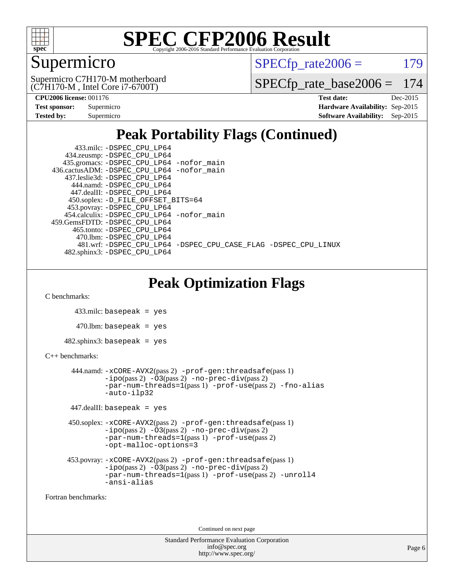

### Supermicro

 $SPECTp\_rate2006 = 179$ 

(C7H170-M , Intel Core i7-6700T) Supermicro C7H170-M motherboard

[SPECfp\\_rate\\_base2006 =](http://www.spec.org/auto/cpu2006/Docs/result-fields.html#SPECfpratebase2006) 174

| <b>Test sponsor:</b> | Supermicro |
|----------------------|------------|
| Tested by:           | Supermicro |

**[CPU2006 license:](http://www.spec.org/auto/cpu2006/Docs/result-fields.html#CPU2006license)** 001176 **[Test date:](http://www.spec.org/auto/cpu2006/Docs/result-fields.html#Testdate)** Dec-2015 **[Hardware Availability:](http://www.spec.org/auto/cpu2006/Docs/result-fields.html#HardwareAvailability)** Sep-2015 **[Software Availability:](http://www.spec.org/auto/cpu2006/Docs/result-fields.html#SoftwareAvailability)** Sep-2015

### **[Peak Portability Flags \(Continued\)](http://www.spec.org/auto/cpu2006/Docs/result-fields.html#PeakPortabilityFlags)**

| 433.milc: -DSPEC CPU LP64                                      |
|----------------------------------------------------------------|
| 434.zeusmp: -DSPEC_CPU_LP64                                    |
| 435.gromacs: -DSPEC_CPU_LP64 -nofor_main                       |
| 436.cactusADM: -DSPEC CPU LP64 -nofor main                     |
| 437.leslie3d: -DSPEC CPU LP64                                  |
| 444.namd: -DSPEC CPU LP64                                      |
| 447.dealII: -DSPEC CPU LP64                                    |
| 450.soplex: -D_FILE_OFFSET_BITS=64                             |
| 453.povray: -DSPEC_CPU_LP64                                    |
| 454.calculix: - DSPEC CPU LP64 - nofor main                    |
| 459.GemsFDTD: -DSPEC CPU LP64                                  |
| 465.tonto: - DSPEC CPU LP64                                    |
| 470.1bm: - DSPEC CPU LP64                                      |
| 481.wrf: -DSPEC_CPU_LP64 -DSPEC_CPU_CASE_FLAG -DSPEC_CPU_LINUX |
| 482.sphinx3: -DSPEC CPU LP64                                   |

**[Peak Optimization Flags](http://www.spec.org/auto/cpu2006/Docs/result-fields.html#PeakOptimizationFlags)**

[C benchmarks](http://www.spec.org/auto/cpu2006/Docs/result-fields.html#Cbenchmarks):

433.milc: basepeak = yes

 $470$ .lbm: basepeak = yes

 $482$ .sphinx3: basepeak = yes

#### [C++ benchmarks:](http://www.spec.org/auto/cpu2006/Docs/result-fields.html#CXXbenchmarks)

```
 444.namd: -xCORE-AVX2(pass 2) -prof-gen:threadsafe(pass 1)
       -no-prec-div(pass 2)-par-num-threads=1(pass 1) -prof-use(pass 2) -fno-alias
       -auto-ilp32
```
447.dealII: basepeak = yes

```
 450.soplex: -xCORE-AVX2(pass 2) -prof-gen:threadsafe(pass 1)
        -no-prec-div(pass 2)-par-num-threads=1(pass 1)-prof-use(pass 2)
        -opt-malloc-options=3
```

```
 453.povray: -xCORE-AVX2(pass 2) -prof-gen:threadsafe(pass 1)
        -no-prec-div(pass 2)-par-num-threads=1(pass 1) -prof-use(pass 2) -unroll4
        -ansi-alias
```
[Fortran benchmarks](http://www.spec.org/auto/cpu2006/Docs/result-fields.html#Fortranbenchmarks):

Continued on next page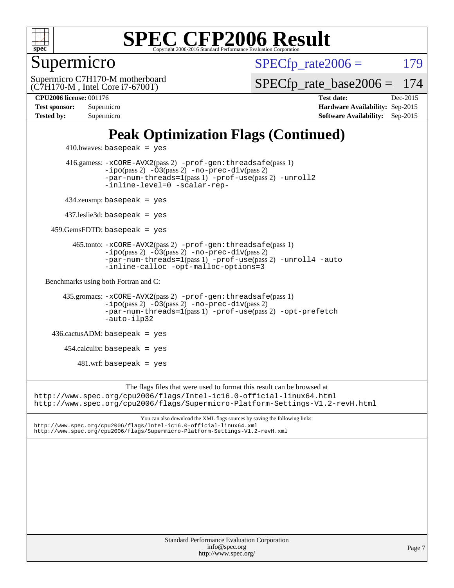

#### Supermicro

 $SPECTp\_rate2006 = 179$ 

(C7H170-M , Intel Core i7-6700T) Supermicro C7H170-M motherboard [SPECfp\\_rate\\_base2006 =](http://www.spec.org/auto/cpu2006/Docs/result-fields.html#SPECfpratebase2006) 174

**[CPU2006 license:](http://www.spec.org/auto/cpu2006/Docs/result-fields.html#CPU2006license)** 001176 **[Test date:](http://www.spec.org/auto/cpu2006/Docs/result-fields.html#Testdate)** Dec-2015 **[Test sponsor:](http://www.spec.org/auto/cpu2006/Docs/result-fields.html#Testsponsor)** Supermicro **[Hardware Availability:](http://www.spec.org/auto/cpu2006/Docs/result-fields.html#HardwareAvailability)** Sep-2015 **[Tested by:](http://www.spec.org/auto/cpu2006/Docs/result-fields.html#Testedby)** Supermicro **Supermicro [Software Availability:](http://www.spec.org/auto/cpu2006/Docs/result-fields.html#SoftwareAvailability)** Sep-2015

### **[Peak Optimization Flags \(Continued\)](http://www.spec.org/auto/cpu2006/Docs/result-fields.html#PeakOptimizationFlags)**

```
410.bwaves: basepeak = yes 416.gamess: -xCORE-AVX2(pass 2) -prof-gen:threadsafe(pass 1)
                 -no-prec-div(pass 2)-par-num-threads=1(pass 1) -prof-use(pass 2) -unroll2
                 -inline-level=0 -scalar-rep-
        434.zeusmp: basepeak = yes
        437.leslie3d: basepeak = yes
     459.GemsFDTD: basepeak = yes
          465.tonto: -xCORE-AVX2(pass 2) -prof-gen:threadsafe(pass 1)
                 -no-prec-div(pass 2)-par-num-threads=1(pass 1) -prof-use(pass 2) -unroll4 -auto
                 -inline-calloc -opt-malloc-options=3
  Benchmarks using both Fortran and C: 
        435.gromacs: -xCORE-AVX2(pass 2) -prof-gen:threadsafe(pass 1)
                 -no-prec-div(pass 2)-par-num-threads=1(pass 1) -prof-use(pass 2) -opt-prefetch
                 -auto-ilp32
     436.cactusADM: basepeak = yes
       454.calculix: basepeak = yes
           481.wrf: basepeak = yes
                       The flags files that were used to format this result can be browsed at
http://www.spec.org/cpu2006/flags/Intel-ic16.0-official-linux64.html
http://www.spec.org/cpu2006/flags/Supermicro-Platform-Settings-V1.2-revH.html
                          You can also download the XML flags sources by saving the following links:
```
<http://www.spec.org/cpu2006/flags/Intel-ic16.0-official-linux64.xml> <http://www.spec.org/cpu2006/flags/Supermicro-Platform-Settings-V1.2-revH.xml>